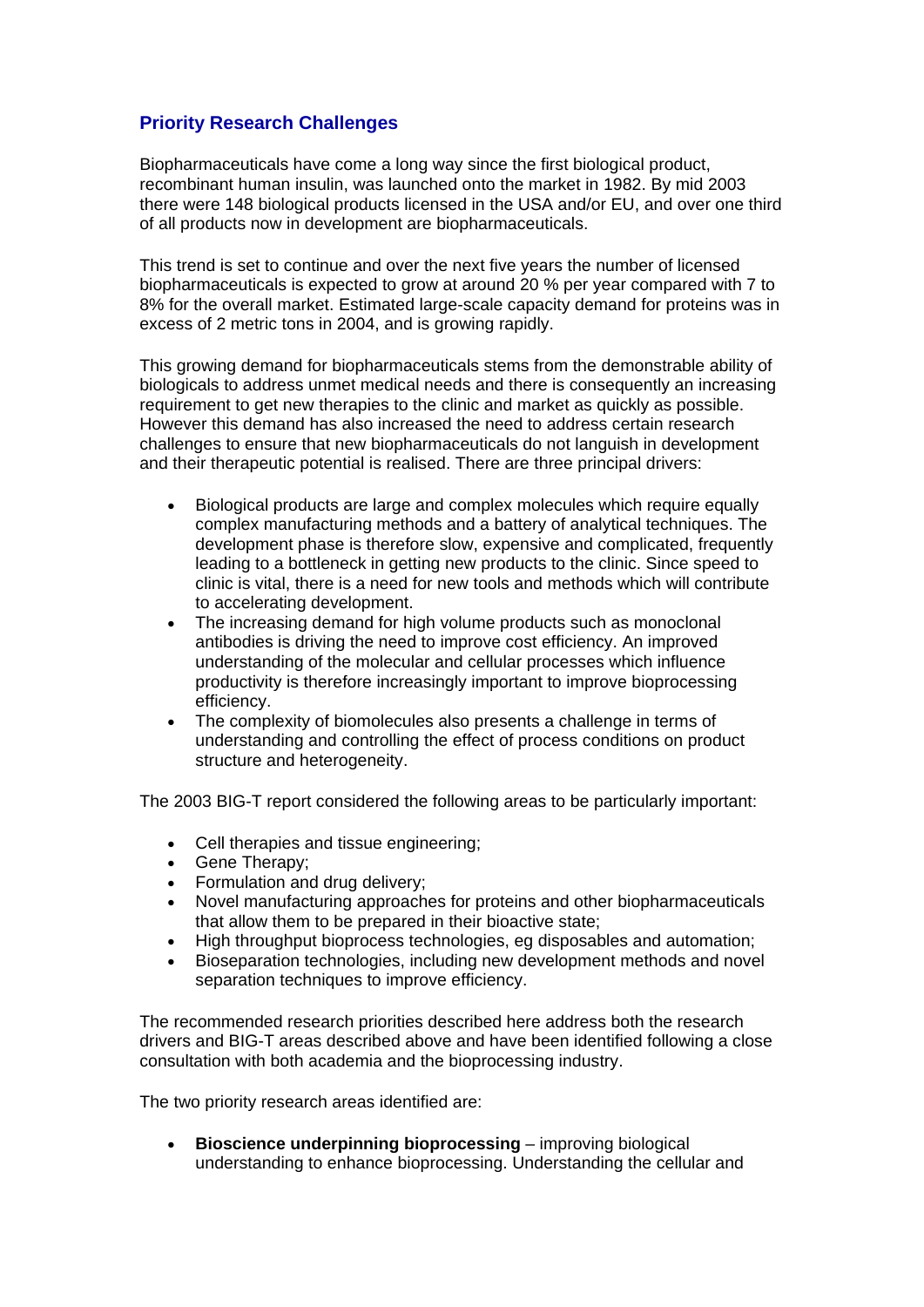## **Priority Research Challenges**

Biopharmaceuticals have come a long way since the first biological product, recombinant human insulin, was launched onto the market in 1982. By mid 2003 there were 148 biological products licensed in the USA and/or EU, and over one third of all products now in development are biopharmaceuticals.

This trend is set to continue and over the next five years the number of licensed biopharmaceuticals is expected to grow at around 20 % per year compared with 7 to 8% for the overall market. Estimated large-scale capacity demand for proteins was in excess of 2 metric tons in 2004, and is growing rapidly.

This growing demand for biopharmaceuticals stems from the demonstrable ability of biologicals to address unmet medical needs and there is consequently an increasing requirement to get new therapies to the clinic and market as quickly as possible. However this demand has also increased the need to address certain research challenges to ensure that new biopharmaceuticals do not languish in development and their therapeutic potential is realised. There are three principal drivers:

- Biological products are large and complex molecules which require equally complex manufacturing methods and a battery of analytical techniques. The development phase is therefore slow, expensive and complicated, frequently leading to a bottleneck in getting new products to the clinic. Since speed to clinic is vital, there is a need for new tools and methods which will contribute to accelerating development.
- The increasing demand for high volume products such as monoclonal antibodies is driving the need to improve cost efficiency. An improved understanding of the molecular and cellular processes which influence productivity is therefore increasingly important to improve bioprocessing efficiency.
- The complexity of biomolecules also presents a challenge in terms of understanding and controlling the effect of process conditions on product structure and heterogeneity.

The 2003 BIG-T report considered the following areas to be particularly important:

- Cell therapies and tissue engineering;
- Gene Therapy;
- Formulation and drug delivery;
- Novel manufacturing approaches for proteins and other biopharmaceuticals that allow them to be prepared in their bioactive state;
- High throughput bioprocess technologies, eg disposables and automation;
- Bioseparation technologies, including new development methods and novel separation techniques to improve efficiency.

The recommended research priorities described here address both the research drivers and BIG-T areas described above and have been identified following a close consultation with both academia and the bioprocessing industry.

The two priority research areas identified are:

**Bioscience underpinning bioprocessing – improving biological** understanding to enhance bioprocessing. Understanding the cellular and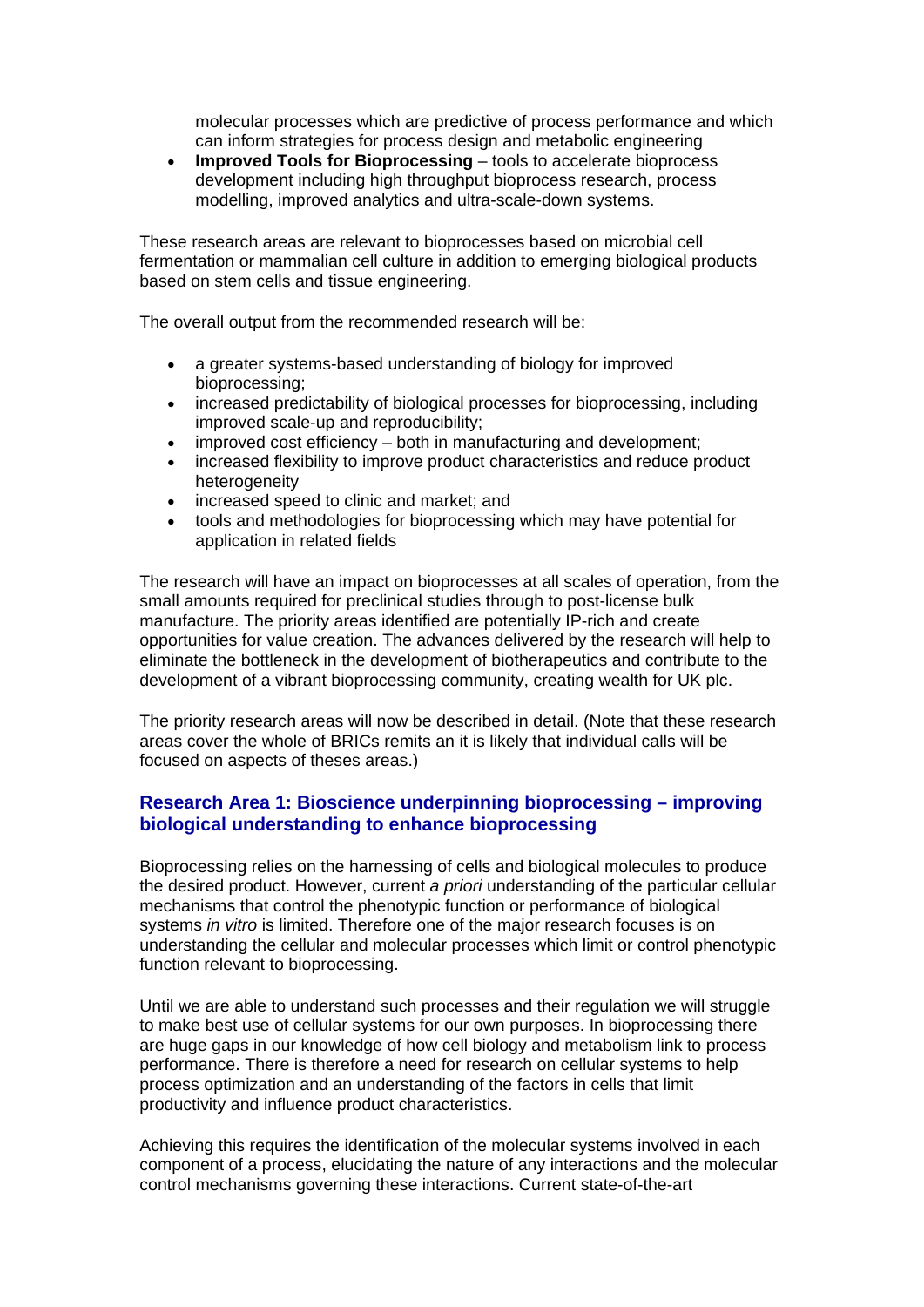molecular processes which are predictive of process performance and which can inform strategies for process design and metabolic engineering

• **Improved Tools for Bioprocessing** – tools to accelerate bioprocess development including high throughput bioprocess research, process modelling, improved analytics and ultra-scale-down systems.

These research areas are relevant to bioprocesses based on microbial cell fermentation or mammalian cell culture in addition to emerging biological products based on stem cells and tissue engineering.

The overall output from the recommended research will be:

- a greater systems-based understanding of biology for improved bioprocessing;
- increased predictability of biological processes for bioprocessing, including improved scale-up and reproducibility;
- improved cost efficiency both in manufacturing and development;
- increased flexibility to improve product characteristics and reduce product heterogeneity
- increased speed to clinic and market; and
- tools and methodologies for bioprocessing which may have potential for application in related fields

The research will have an impact on bioprocesses at all scales of operation, from the small amounts required for preclinical studies through to post-license bulk manufacture. The priority areas identified are potentially IP-rich and create opportunities for value creation. The advances delivered by the research will help to eliminate the bottleneck in the development of biotherapeutics and contribute to the development of a vibrant bioprocessing community, creating wealth for UK plc.

The priority research areas will now be described in detail. (Note that these research areas cover the whole of BRICs remits an it is likely that individual calls will be focused on aspects of theses areas.)

## **Research Area 1: Bioscience underpinning bioprocessing – improving biological understanding to enhance bioprocessing**

Bioprocessing relies on the harnessing of cells and biological molecules to produce the desired product. However, current *a priori* understanding of the particular cellular mechanisms that control the phenotypic function or performance of biological systems *in vitro* is limited. Therefore one of the major research focuses is on understanding the cellular and molecular processes which limit or control phenotypic function relevant to bioprocessing.

Until we are able to understand such processes and their regulation we will struggle to make best use of cellular systems for our own purposes. In bioprocessing there are huge gaps in our knowledge of how cell biology and metabolism link to process performance. There is therefore a need for research on cellular systems to help process optimization and an understanding of the factors in cells that limit productivity and influence product characteristics.

Achieving this requires the identification of the molecular systems involved in each component of a process, elucidating the nature of any interactions and the molecular control mechanisms governing these interactions. Current state-of-the-art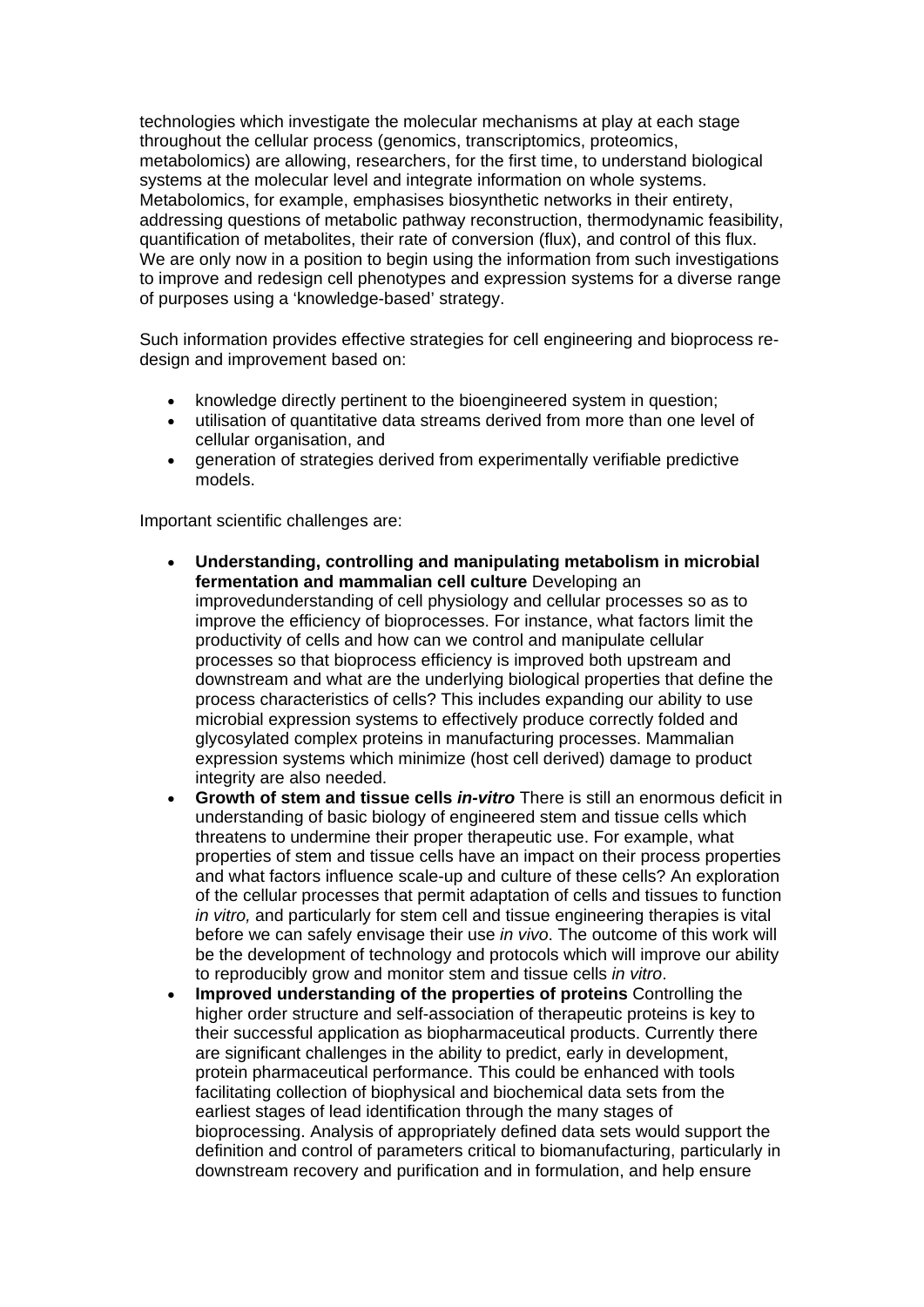technologies which investigate the molecular mechanisms at play at each stage throughout the cellular process (genomics, transcriptomics, proteomics, metabolomics) are allowing, researchers, for the first time, to understand biological systems at the molecular level and integrate information on whole systems. Metabolomics, for example, emphasises biosynthetic networks in their entirety, addressing questions of metabolic pathway reconstruction, thermodynamic feasibility, quantification of metabolites, their rate of conversion (flux), and control of this flux. We are only now in a position to begin using the information from such investigations to improve and redesign cell phenotypes and expression systems for a diverse range of purposes using a 'knowledge-based' strategy.

Such information provides effective strategies for cell engineering and bioprocess redesign and improvement based on:

- knowledge directly pertinent to the bioengineered system in question;
- utilisation of quantitative data streams derived from more than one level of cellular organisation, and
- generation of strategies derived from experimentally verifiable predictive models.

Important scientific challenges are:

- **Understanding, controlling and manipulating metabolism in microbial fermentation and mammalian cell culture** Developing an improvedunderstanding of cell physiology and cellular processes so as to improve the efficiency of bioprocesses. For instance, what factors limit the productivity of cells and how can we control and manipulate cellular processes so that bioprocess efficiency is improved both upstream and downstream and what are the underlying biological properties that define the process characteristics of cells? This includes expanding our ability to use microbial expression systems to effectively produce correctly folded and glycosylated complex proteins in manufacturing processes. Mammalian expression systems which minimize (host cell derived) damage to product integrity are also needed.
- **Growth of stem and tissue cells** *in-vitro* There is still an enormous deficit in understanding of basic biology of engineered stem and tissue cells which threatens to undermine their proper therapeutic use. For example, what properties of stem and tissue cells have an impact on their process properties and what factors influence scale-up and culture of these cells? An exploration of the cellular processes that permit adaptation of cells and tissues to function *in vitro,* and particularly for stem cell and tissue engineering therapies is vital before we can safely envisage their use *in vivo*. The outcome of this work will be the development of technology and protocols which will improve our ability to reproducibly grow and monitor stem and tissue cells *in vitro*.
- **Improved understanding of the properties of proteins** Controlling the higher order structure and self-association of therapeutic proteins is key to their successful application as biopharmaceutical products. Currently there are significant challenges in the ability to predict, early in development, protein pharmaceutical performance. This could be enhanced with tools facilitating collection of biophysical and biochemical data sets from the earliest stages of lead identification through the many stages of bioprocessing. Analysis of appropriately defined data sets would support the definition and control of parameters critical to biomanufacturing, particularly in downstream recovery and purification and in formulation, and help ensure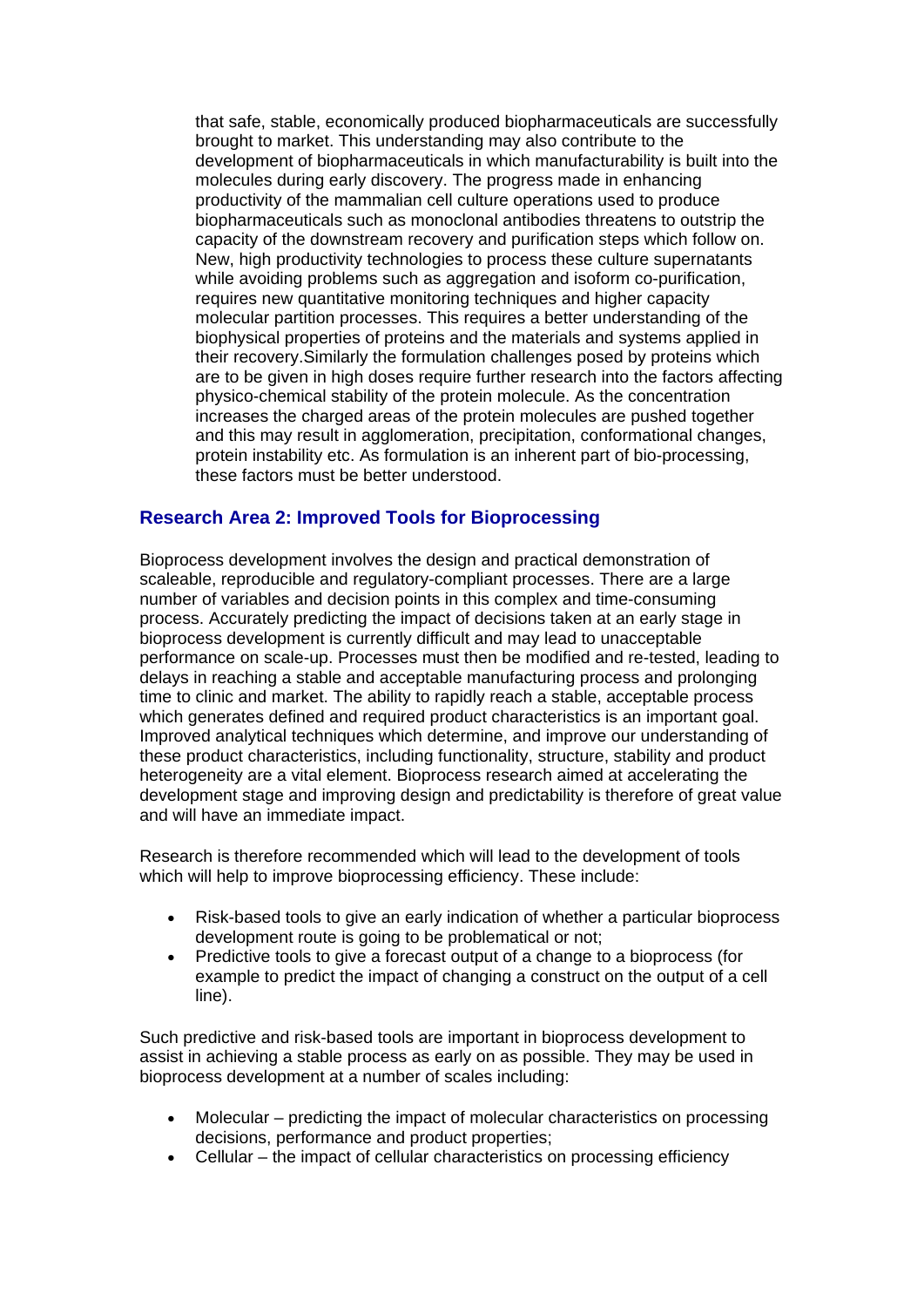that safe, stable, economically produced biopharmaceuticals are successfully brought to market. This understanding may also contribute to the development of biopharmaceuticals in which manufacturability is built into the molecules during early discovery. The progress made in enhancing productivity of the mammalian cell culture operations used to produce biopharmaceuticals such as monoclonal antibodies threatens to outstrip the capacity of the downstream recovery and purification steps which follow on. New, high productivity technologies to process these culture supernatants while avoiding problems such as aggregation and isoform co-purification, requires new quantitative monitoring techniques and higher capacity molecular partition processes. This requires a better understanding of the biophysical properties of proteins and the materials and systems applied in their recovery.Similarly the formulation challenges posed by proteins which are to be given in high doses require further research into the factors affecting physico-chemical stability of the protein molecule. As the concentration increases the charged areas of the protein molecules are pushed together and this may result in agglomeration, precipitation, conformational changes, protein instability etc. As formulation is an inherent part of bio-processing, these factors must be better understood.

## **Research Area 2: Improved Tools for Bioprocessing**

Bioprocess development involves the design and practical demonstration of scaleable, reproducible and regulatory-compliant processes. There are a large number of variables and decision points in this complex and time-consuming process. Accurately predicting the impact of decisions taken at an early stage in bioprocess development is currently difficult and may lead to unacceptable performance on scale-up. Processes must then be modified and re-tested, leading to delays in reaching a stable and acceptable manufacturing process and prolonging time to clinic and market. The ability to rapidly reach a stable, acceptable process which generates defined and required product characteristics is an important goal. Improved analytical techniques which determine, and improve our understanding of these product characteristics, including functionality, structure, stability and product heterogeneity are a vital element. Bioprocess research aimed at accelerating the development stage and improving design and predictability is therefore of great value and will have an immediate impact.

Research is therefore recommended which will lead to the development of tools which will help to improve bioprocessing efficiency. These include:

- Risk-based tools to give an early indication of whether a particular bioprocess development route is going to be problematical or not;
- Predictive tools to give a forecast output of a change to a bioprocess (for example to predict the impact of changing a construct on the output of a cell line).

Such predictive and risk-based tools are important in bioprocess development to assist in achieving a stable process as early on as possible. They may be used in bioprocess development at a number of scales including:

- Molecular predicting the impact of molecular characteristics on processing decisions, performance and product properties;
- Cellular the impact of cellular characteristics on processing efficiency